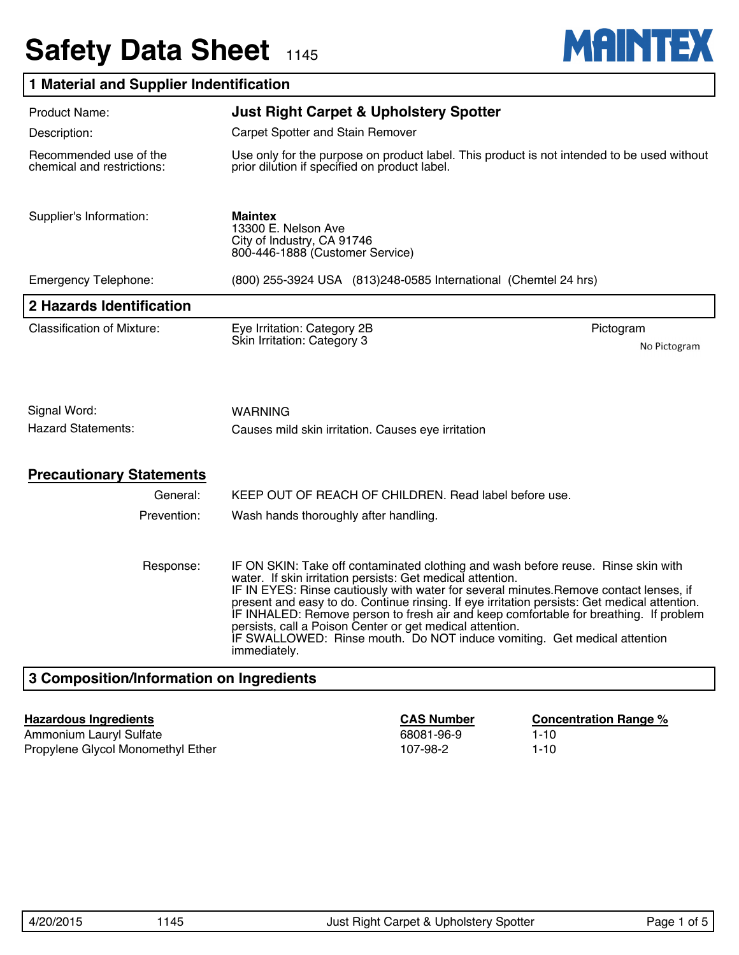# **Safety Data Sheet** 1145



# **1 Material and Supplier Indentification**

| <b>Product Name:</b>                                 | <b>Just Right Carpet &amp; Upholstery Spotter</b>                                                                                                                                                                                                                                                                                                                                                                                                                                                                                                                                          |                           |  |  |
|------------------------------------------------------|--------------------------------------------------------------------------------------------------------------------------------------------------------------------------------------------------------------------------------------------------------------------------------------------------------------------------------------------------------------------------------------------------------------------------------------------------------------------------------------------------------------------------------------------------------------------------------------------|---------------------------|--|--|
| Description:                                         | <b>Carpet Spotter and Stain Remover</b>                                                                                                                                                                                                                                                                                                                                                                                                                                                                                                                                                    |                           |  |  |
| Recommended use of the<br>chemical and restrictions: | Use only for the purpose on product label. This product is not intended to be used without<br>prior dilution if specified on product label.                                                                                                                                                                                                                                                                                                                                                                                                                                                |                           |  |  |
| Supplier's Information:                              | <b>Maintex</b><br>13300 E. Nelson Ave<br>City of Industry, CA 91746<br>800-446-1888 (Customer Service)                                                                                                                                                                                                                                                                                                                                                                                                                                                                                     |                           |  |  |
| <b>Emergency Telephone:</b>                          | (800) 255-3924 USA (813) 248-0585 International (Chemtel 24 hrs)                                                                                                                                                                                                                                                                                                                                                                                                                                                                                                                           |                           |  |  |
| 2 Hazards Identification                             |                                                                                                                                                                                                                                                                                                                                                                                                                                                                                                                                                                                            |                           |  |  |
| <b>Classification of Mixture:</b>                    | Eye Irritation: Category 2B<br>Skin Irritation: Category 3                                                                                                                                                                                                                                                                                                                                                                                                                                                                                                                                 | Pictogram<br>No Pictogram |  |  |
| Signal Word:<br><b>Hazard Statements:</b>            | <b>WARNING</b><br>Causes mild skin irritation. Causes eye irritation                                                                                                                                                                                                                                                                                                                                                                                                                                                                                                                       |                           |  |  |
| <b>Precautionary Statements</b>                      |                                                                                                                                                                                                                                                                                                                                                                                                                                                                                                                                                                                            |                           |  |  |
| General:                                             | KEEP OUT OF REACH OF CHILDREN. Read label before use.                                                                                                                                                                                                                                                                                                                                                                                                                                                                                                                                      |                           |  |  |
| Prevention:                                          | Wash hands thoroughly after handling.                                                                                                                                                                                                                                                                                                                                                                                                                                                                                                                                                      |                           |  |  |
| Response:                                            | IF ON SKIN: Take off contaminated clothing and wash before reuse. Rinse skin with<br>water. If skin irritation persists: Get medical attention.<br>IF IN EYES: Rinse cautiously with water for several minutes. Remove contact lenses, if<br>present and easy to do. Continue rinsing. If eye irritation persists: Get medical attention.<br>IF INHALED: Remove person to fresh air and keep comfortable for breathing. If problem<br>persists, call a Poison Center or get medical attention.<br>IF SWALLOWED: Rinse mouth. Do NOT induce vomiting. Get medical attention<br>immediately. |                           |  |  |
|                                                      | 3 Composition/Information on Ingredients                                                                                                                                                                                                                                                                                                                                                                                                                                                                                                                                                   |                           |  |  |

#### **Hazardous Ingredients CAS Number Concentration Range %**

Ammonium Lauryl Sulfate and the contract of the 68081-96-9 1-10 Propylene Glycol Monomethyl Ether 107-98-2 107-98-2 1-10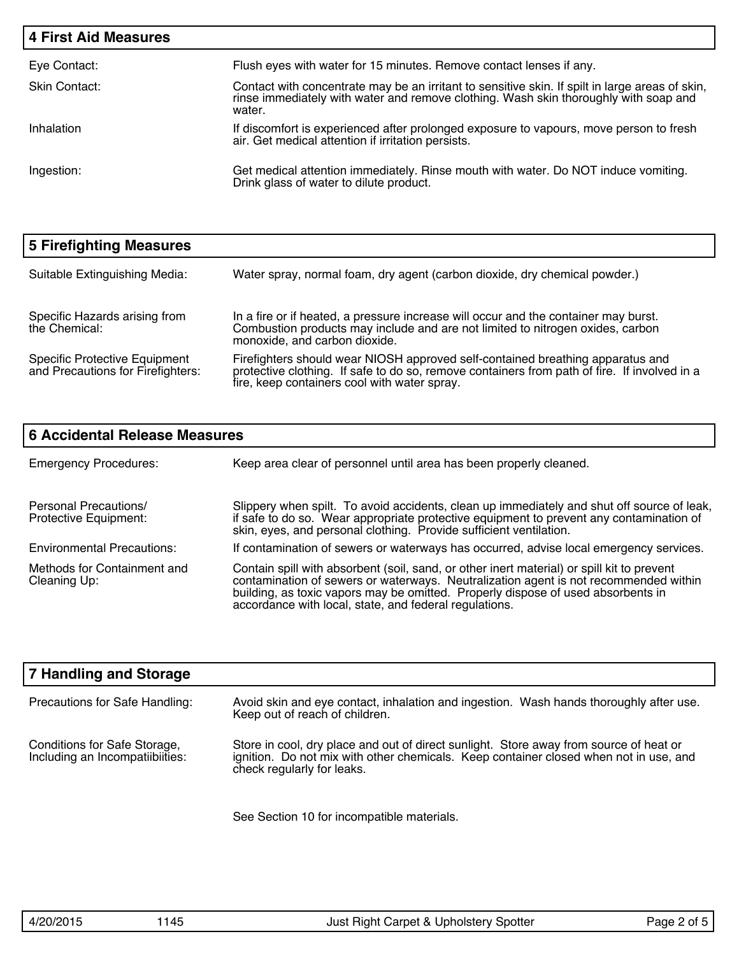| <b>4 First Aid Measures</b> |                                                                                                                                                                                                   |
|-----------------------------|---------------------------------------------------------------------------------------------------------------------------------------------------------------------------------------------------|
| Eye Contact:                | Flush eyes with water for 15 minutes. Remove contact lenses if any.                                                                                                                               |
| Skin Contact:               | Contact with concentrate may be an irritant to sensitive skin. If spilt in large areas of skin,<br>rinse immediately with water and remove clothing. Wash skin thoroughly with soap and<br>water. |
| Inhalation                  | If discomfort is experienced after prolonged exposure to vapours, move person to fresh<br>air. Get medical attention if irritation persists.                                                      |
| Ingestion:                  | Get medical attention immediately. Rinse mouth with water. Do NOT induce vomiting.<br>Drink glass of water to dilute product.                                                                     |

| 5 Firefighting Measures                                                   |                                                                                                                                                                                                                                |
|---------------------------------------------------------------------------|--------------------------------------------------------------------------------------------------------------------------------------------------------------------------------------------------------------------------------|
| Suitable Extinguishing Media:                                             | Water spray, normal foam, dry agent (carbon dioxide, dry chemical powder.)                                                                                                                                                     |
| Specific Hazards arising from<br>the Chemical:                            | In a fire or if heated, a pressure increase will occur and the container may burst.<br>Combustion products may include and are not limited to nitrogen oxides, carbon<br>monoxide, and carbon dioxide.                         |
| <b>Specific Protective Equipment</b><br>and Precautions for Firefighters: | Firefighters should wear NIOSH approved self-contained breathing apparatus and<br>protective clothing. If safe to do so, remove containers from path of fire. If involved in a<br>fire, keep containers cool with water spray. |

| <b>6 Accidental Release Measures</b>           |                                                                                                                                                                                                                                                                                                                                  |  |  |
|------------------------------------------------|----------------------------------------------------------------------------------------------------------------------------------------------------------------------------------------------------------------------------------------------------------------------------------------------------------------------------------|--|--|
| <b>Emergency Procedures:</b>                   | Keep area clear of personnel until area has been properly cleaned.                                                                                                                                                                                                                                                               |  |  |
| Personal Precautions/<br>Protective Equipment: | Slippery when spilt. To avoid accidents, clean up immediately and shut off source of leak,<br>if safe to do so. Wear appropriate protective equipment to prevent any contamination of<br>skin, eyes, and personal clothing. Provide sufficient ventilation.                                                                      |  |  |
| <b>Environmental Precautions:</b>              | If contamination of sewers or waterways has occurred, advise local emergency services.                                                                                                                                                                                                                                           |  |  |
| Methods for Containment and<br>Cleaning Up:    | Contain spill with absorbent (soil, sand, or other inert material) or spill kit to prevent<br>contamination of sewers or waterways. Neutralization agent is not recommended within<br>building, as toxic vapors may be omitted. Properly dispose of used absorbents in<br>accordance with local, state, and federal regulations. |  |  |

| 7 Handling and Storage                                          |                                                                                                                                                                                                               |
|-----------------------------------------------------------------|---------------------------------------------------------------------------------------------------------------------------------------------------------------------------------------------------------------|
| Precautions for Safe Handling:                                  | Avoid skin and eye contact, inhalation and ingestion. Wash hands thoroughly after use.<br>Keep out of reach of children.                                                                                      |
| Conditions for Safe Storage,<br>Including an Incompatiibiities: | Store in cool, dry place and out of direct sunlight. Store away from source of heat or<br>ignition. Do not mix with other chemicals. Keep container closed when not in use, and<br>check regularly for leaks. |

See Section 10 for incompatible materials.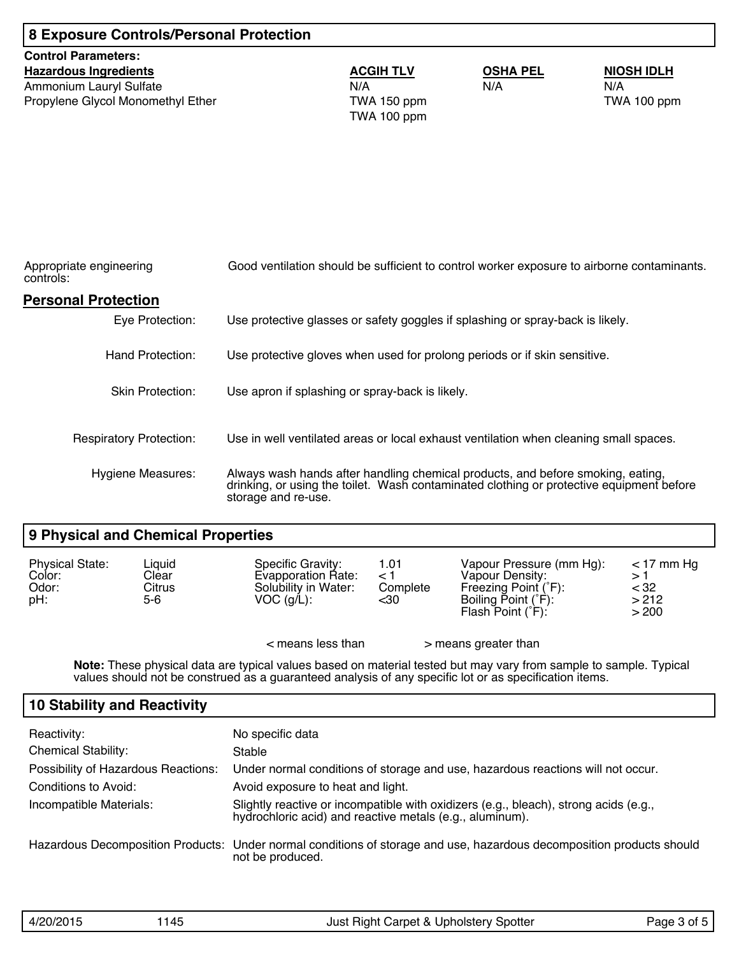| <b>8 Exposure Controls/Personal Protection</b>                                                                             |                     |                                                                                                                                                                             |                          |                                         |
|----------------------------------------------------------------------------------------------------------------------------|---------------------|-----------------------------------------------------------------------------------------------------------------------------------------------------------------------------|--------------------------|-----------------------------------------|
| <b>Control Parameters:</b><br><b>Hazardous Ingredients</b><br>Ammonium Lauryl Sulfate<br>Propylene Glycol Monomethyl Ether |                     | <b>ACGIH TLV</b><br>N/A<br>TWA 150 ppm<br>TWA 100 ppm                                                                                                                       | <b>OSHA PEL</b><br>N/A   | <b>NIOSH IDLH</b><br>N/A<br>TWA 100 ppm |
| Appropriate engineering<br>controls:<br><b>Personal Protection</b>                                                         |                     | Good ventilation should be sufficient to control worker exposure to airborne contaminants.                                                                                  |                          |                                         |
| Eye Protection:                                                                                                            |                     | Use protective glasses or safety goggles if splashing or spray-back is likely.                                                                                              |                          |                                         |
| Hand Protection:                                                                                                           |                     | Use protective gloves when used for prolong periods or if skin sensitive.                                                                                                   |                          |                                         |
| <b>Skin Protection:</b>                                                                                                    |                     | Use apron if splashing or spray-back is likely.                                                                                                                             |                          |                                         |
| <b>Respiratory Protection:</b>                                                                                             |                     | Use in well ventilated areas or local exhaust ventilation when cleaning small spaces.                                                                                       |                          |                                         |
| <b>Hygiene Measures:</b>                                                                                                   | storage and re-use. | Always wash hands after handling chemical products, and before smoking, eating,<br>drinking, or using the toilet. Wash contaminated clothing or protective equipment before |                          |                                         |
| 9 Physical and Chemical Properties                                                                                         |                     |                                                                                                                                                                             |                          |                                         |
| <b>Physical State:</b><br>Liquid                                                                                           | Specific Gravity:   | 1.01                                                                                                                                                                        | Vapour Pressure (mm Hg): | $<$ 17 mm Hg                            |

| Physical State:<br>Color:<br>Odor:<br>pH: | Liauid<br>Clear<br>Citrus<br>5-6 | Specific Gravity:<br>Evapporation Rate:<br>Solubility in Water:<br>$VOC$ (g/L): | 1.01<br>Complete<br><30 | Vapour Pressure (mm Hg):<br>Vapour Density:<br>Freezing Point (°F):<br>Boiling Point (°F):<br>Flash Point $(°F)$ : | $<$ 17 mm Hg<br>< 32<br>>212<br>> 200 |
|-------------------------------------------|----------------------------------|---------------------------------------------------------------------------------|-------------------------|--------------------------------------------------------------------------------------------------------------------|---------------------------------------|
|                                           |                                  | $<$ means less than                                                             |                         | > means greater than                                                                                               |                                       |

**Note:** These physical data are typical values based on material tested but may vary from sample to sample. Typical values should not be construed as a guaranteed analysis of any specific lot or as specification items.

# **10 Stability and Reactivity** Reactivity: No specific data Possibility of Hazardous Reactions: Under normal conditions of storage and use, hazardous reactions will not occur. Conditions to Avoid: **Avoid exposure to heat and light.** Incompatible Materials: Slightly reactive or incompatible with oxidizers (e.g., bleach), strong acids (e.g., hydrochloric acid) and reactive metals (e.g., aluminum). Chemical Stability: Stable Hazardous Decomposition Products: Under normal conditions of storage and use, hazardous decomposition products should not be produced.

| 4/20/2015 | 145 | Just Right Carpet & Upholstery Spotter | Page 3 of 5 |
|-----------|-----|----------------------------------------|-------------|
|           |     |                                        |             |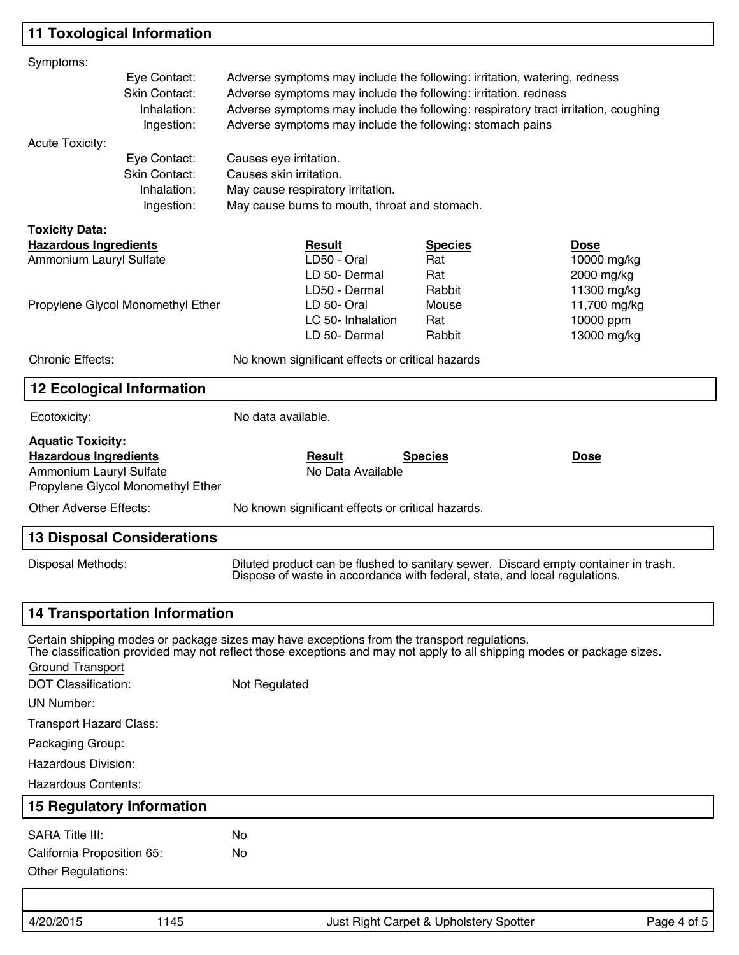# **11 Toxological Information**

| Symptoms:                                               |                                                                                                   |                                                                                                                                                                                                                       |              |
|---------------------------------------------------------|---------------------------------------------------------------------------------------------------|-----------------------------------------------------------------------------------------------------------------------------------------------------------------------------------------------------------------------|--------------|
|                                                         | Eye Contact:                                                                                      | Adverse symptoms may include the following: irritation, watering, redness                                                                                                                                             |              |
|                                                         | Skin Contact:                                                                                     | Adverse symptoms may include the following: irritation, redness                                                                                                                                                       |              |
|                                                         | Inhalation:<br>Adverse symptoms may include the following: respiratory tract irritation, coughing |                                                                                                                                                                                                                       |              |
|                                                         | Ingestion:                                                                                        | Adverse symptoms may include the following: stomach pains                                                                                                                                                             |              |
| <b>Acute Toxicity:</b>                                  |                                                                                                   |                                                                                                                                                                                                                       |              |
|                                                         | Eye Contact:                                                                                      | Causes eye irritation.                                                                                                                                                                                                |              |
|                                                         | Skin Contact:<br>Inhalation:                                                                      | Causes skin irritation.<br>May cause respiratory irritation.                                                                                                                                                          |              |
|                                                         | Ingestion:                                                                                        | May cause burns to mouth, throat and stomach.                                                                                                                                                                         |              |
|                                                         |                                                                                                   |                                                                                                                                                                                                                       |              |
| <b>Toxicity Data:</b>                                   |                                                                                                   |                                                                                                                                                                                                                       |              |
| <b>Hazardous Ingredients</b><br>Ammonium Lauryl Sulfate |                                                                                                   | <b>Species</b><br><b>Result</b><br><b>Dose</b><br>LD50 - Oral<br>Rat                                                                                                                                                  | 10000 mg/kg  |
|                                                         |                                                                                                   | LD 50- Dermal<br>2000 mg/kg<br>Rat                                                                                                                                                                                    |              |
|                                                         |                                                                                                   | LD50 - Dermal<br>Rabbit                                                                                                                                                                                               | 11300 mg/kg  |
|                                                         | Propylene Glycol Monomethyl Ether                                                                 | LD 50- Oral<br>Mouse                                                                                                                                                                                                  | 11,700 mg/kg |
|                                                         |                                                                                                   | 10000 ppm<br>LC 50- Inhalation<br>Rat                                                                                                                                                                                 |              |
|                                                         |                                                                                                   | LD 50- Dermal<br>Rabbit                                                                                                                                                                                               | 13000 mg/kg  |
| <b>Chronic Effects:</b>                                 |                                                                                                   | No known significant effects or critical hazards                                                                                                                                                                      |              |
| <b>12 Ecological Information</b>                        |                                                                                                   |                                                                                                                                                                                                                       |              |
| Ecotoxicity:                                            |                                                                                                   | No data available.                                                                                                                                                                                                    |              |
| <b>Aquatic Toxicity:</b>                                |                                                                                                   |                                                                                                                                                                                                                       |              |
| <b>Hazardous Ingredients</b>                            |                                                                                                   | <b>Result</b><br><b>Species</b><br><b>Dose</b>                                                                                                                                                                        |              |
| Ammonium Lauryl Sulfate                                 |                                                                                                   | No Data Available                                                                                                                                                                                                     |              |
|                                                         | Propylene Glycol Monomethyl Ether                                                                 |                                                                                                                                                                                                                       |              |
| <b>Other Adverse Effects:</b>                           |                                                                                                   | No known significant effects or critical hazards.                                                                                                                                                                     |              |
|                                                         | <b>13 Disposal Considerations</b>                                                                 |                                                                                                                                                                                                                       |              |
| Disposal Methods:                                       |                                                                                                   | Diluted product can be flushed to sanitary sewer. Discard empty container in trash.<br>Dispose of waste in accordance with federal, state, and local regulations.                                                     |              |
|                                                         | <b>14 Transportation Information</b>                                                              |                                                                                                                                                                                                                       |              |
|                                                         |                                                                                                   | Certain shipping modes or package sizes may have exceptions from the transport regulations.<br>The classification provided may not reflect those exceptions and may not apply to all shipping modes or package sizes. |              |
| <b>Ground Transport</b>                                 |                                                                                                   |                                                                                                                                                                                                                       |              |
| <b>DOT Classification:</b>                              |                                                                                                   | Not Regulated                                                                                                                                                                                                         |              |
| <b>UN Number:</b>                                       |                                                                                                   |                                                                                                                                                                                                                       |              |
| <b>Transport Hazard Class:</b>                          |                                                                                                   |                                                                                                                                                                                                                       |              |
| Packaging Group:                                        |                                                                                                   |                                                                                                                                                                                                                       |              |
| Hazardous Division:                                     |                                                                                                   |                                                                                                                                                                                                                       |              |
|                                                         |                                                                                                   |                                                                                                                                                                                                                       |              |
| <b>Hazardous Contents:</b>                              |                                                                                                   |                                                                                                                                                                                                                       |              |
| <b>15 Regulatory Information</b>                        |                                                                                                   |                                                                                                                                                                                                                       |              |
| <b>SARA Title III:</b>                                  |                                                                                                   | No                                                                                                                                                                                                                    |              |
| California Proposition 65:                              |                                                                                                   | No                                                                                                                                                                                                                    |              |
| Other Regulations:                                      |                                                                                                   |                                                                                                                                                                                                                       |              |
|                                                         |                                                                                                   |                                                                                                                                                                                                                       |              |
|                                                         |                                                                                                   |                                                                                                                                                                                                                       |              |
| 4/20/2015                                               | 1145                                                                                              | Just Right Carpet & Upholstery Spotter                                                                                                                                                                                | Page 4 of 5  |